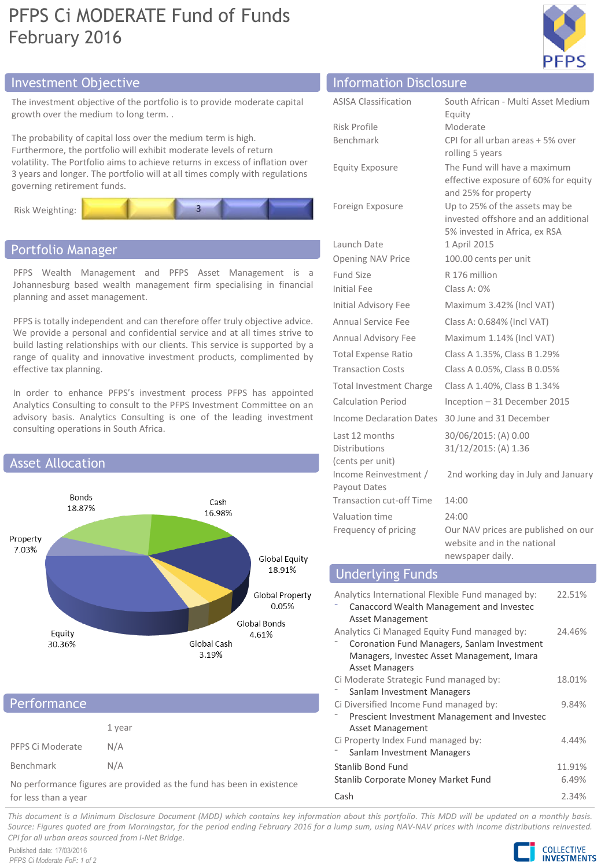# PFPS Ci MODERATE Fund of Funds February 2016



## Investment Objective

The investment objective of the portfolio is to provide moderate capital growth over the medium to long term. .

The probability of capital loss over the medium term is high. Furthermore, the portfolio will exhibit moderate levels of return volatility. The Portfolio aims to achieve returns in excess of inflation over 3 years and longer. The portfolio will at all times comply with regulations governing retirement funds.



## Portfolio Manager

PFPS Wealth Management and PFPS Asset Management is a Johannesburg based wealth management firm specialising in financial planning and asset management.

PFPS is totally independent and can therefore offer truly objective advice. We provide a personal and confidential service and at all times strive to build lasting relationships with our clients. This service is supported by a range of quality and innovative investment products, complimented by effective tax planning.

In order to enhance PFPS's investment process PFPS has appointed Analytics Consulting to consult to the PFPS Investment Committee on an advisory basis. Analytics Consulting is one of the leading investment consulting operations in South Africa.



## **Performance**

|                  | 1 year |
|------------------|--------|
| PFPS Ci Moderate | N/A    |
| Benchmark        | N/A    |

No performance figures are provided as the fund has been in existence for less than a year

|  | <b>Information Disclosure</b> |
|--|-------------------------------|
|  |                               |
|  |                               |

| <b>ASISA Classification</b>                                                                             | South African - Multi Asset Medium<br>Equity                                                           |  |  |
|---------------------------------------------------------------------------------------------------------|--------------------------------------------------------------------------------------------------------|--|--|
| <b>Risk Profile</b>                                                                                     | Moderate                                                                                               |  |  |
| Benchmark                                                                                               | CPI for all urban areas + 5% over<br>rolling 5 years                                                   |  |  |
| <b>Equity Exposure</b>                                                                                  | The Fund will have a maximum<br>effective exposure of 60% for equity<br>and 25% for property           |  |  |
| Foreign Exposure                                                                                        | Up to 25% of the assets may be<br>invested offshore and an additional<br>5% invested in Africa, ex RSA |  |  |
| Launch Date                                                                                             | 1 April 2015                                                                                           |  |  |
| Opening NAV Price                                                                                       | 100.00 cents per unit                                                                                  |  |  |
| <b>Fund Size</b>                                                                                        | R 176 million                                                                                          |  |  |
| <b>Initial Fee</b>                                                                                      | Class A: 0%                                                                                            |  |  |
| Initial Advisory Fee                                                                                    | Maximum 3.42% (Incl VAT)                                                                               |  |  |
| Annual Service Fee                                                                                      | Class A: 0.684% (Incl VAT)                                                                             |  |  |
| Annual Advisory Fee                                                                                     | Maximum 1.14% (Incl VAT)                                                                               |  |  |
| <b>Total Expense Ratio</b>                                                                              | Class A 1.35%, Class B 1.29%                                                                           |  |  |
| <b>Transaction Costs</b>                                                                                | Class A 0.05%, Class B 0.05%                                                                           |  |  |
| Total Investment Charge                                                                                 | Class A 1.40%, Class B 1.34%                                                                           |  |  |
| Calculation Period                                                                                      | Inception - 31 December 2015                                                                           |  |  |
| Income Declaration Dates                                                                                | 30 June and 31 December                                                                                |  |  |
| Last 12 months<br><b>Distributions</b><br>(cents per unit)                                              | 30/06/2015: (A) 0.00<br>31/12/2015: (A) 1.36                                                           |  |  |
| Income Reinvestment /<br>Payout Dates                                                                   | 2nd working day in July and January                                                                    |  |  |
| <b>Transaction cut-off Time</b>                                                                         | 14:00                                                                                                  |  |  |
| Valuation time                                                                                          | 24:00                                                                                                  |  |  |
| Frequency of pricing                                                                                    | Our NAV prices are published on our<br>website and in the national<br>newspaper daily.                 |  |  |
| <b>Underlying Funds</b>                                                                                 |                                                                                                        |  |  |
| Analytics International Flexible Fund managed by:<br>22.51%<br>Canaccord Wealth Management and Investec |                                                                                                        |  |  |

|  | <b>Underlying Funds</b> |  |
|--|-------------------------|--|
|  |                         |  |

| Analytics International Flexible Fund managed by:            | 22.51% |
|--------------------------------------------------------------|--------|
| Canaccord Wealth Management and Investec<br>Asset Management |        |
| Analytics Ci Managed Equity Fund managed by:                 | 24.46% |
| Coronation Fund Managers, Sanlam Investment                  |        |
| Managers, Investec Asset Management, Imara                   |        |
| <b>Asset Managers</b>                                        |        |
| Ci Moderate Strategic Fund managed by:                       | 18.01% |
| Sanlam Investment Managers                                   |        |
| Ci Diversified Income Fund managed by:                       | 9.84%  |
| Prescient Investment Management and Investec                 |        |
| Asset Management                                             |        |
| Ci Property Index Fund managed by:                           | 4.44%  |
| Sanlam Investment Managers                                   |        |
| Stanlib Bond Fund                                            | 11.91% |
| Stanlib Corporate Money Market Fund                          | 6.49%  |
| Cash                                                         | 2.34%  |

This document is a Minimum Disclosure Document (MDD) which contains key information about this portfolio. This MDD will be updated on a monthly basis. Source: Figures guoted are from Morningstar, for the period ending February 2016 for a lump sum, using NAV-NAV prices with income distributions reinvested. *CPI for all urban areas sourced from I-Net Bridge.*

Published date: 17/03/2016 *PFPS Ci Moderate FoF: 1 of 2*